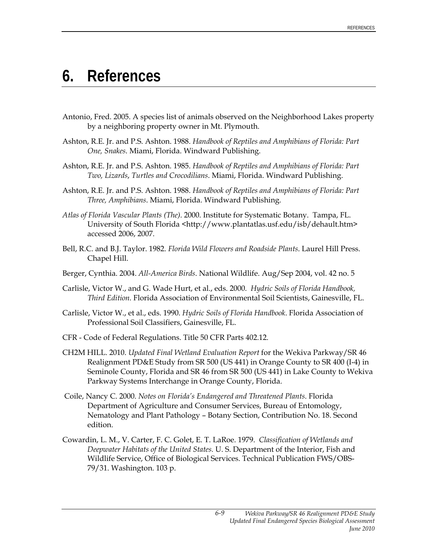## **6. References**

- Antonio, Fred. 2005. A species list of animals observed on the Neighborhood Lakes property by a neighboring property owner in Mt. Plymouth.
- Ashton, R.E. Jr. and P.S. Ashton. 1988. *Handbook of Reptiles and Amphibians of Florida: Part One, Snakes*. Miami, Florida. Windward Publishing.
- Ashton, R.E. Jr. and P.S. Ashton. 1985. *Handbook of Reptiles and Amphibians of Florida: Part Two, Lizards*, *Turtles and Crocodilians*. Miami, Florida. Windward Publishing.
- Ashton, R.E. Jr. and P.S. Ashton. 1988. *Handbook of Reptiles and Amphibians of Florida: Part Three, Amphibians*. Miami, Florida. Windward Publishing.
- *Atlas of Florida Vascular Plants (The)*. 2000. Institute for Systematic Botany. Tampa, FL. University of South Florida <http://www.plantatlas.usf.edu/isb/dehault.htm> accessed 2006, 2007.
- Bell, R.C. and B.J. Taylor. 1982. *Florida Wild Flowers and Roadside Plants*. Laurel Hill Press. Chapel Hill.
- Berger, Cynthia. 2004. *All-America Birds*. National Wildlife. Aug/Sep 2004, vol. 42 no. 5
- Carlisle, Victor W., and G. Wade Hurt, et al., eds. 2000. *Hydric Soils of Florida Handbook, Third Edition.* Florida Association of Environmental Soil Scientists, Gainesville, FL.
- Carlisle, Victor W., et al., eds. 1990. *Hydric Soils of Florida Handbook*. Florida Association of Professional Soil Classifiers, Gainesville, FL.
- CFR Code of Federal Regulations. Title 50 CFR Parts 402.12.
- CH2M HILL. 2010. *Updated Final Wetland Evaluation Report* for the Wekiva Parkway/SR 46 Realignment PD&E Study from SR 500 (US 441) in Orange County to SR 400 (I-4) in Seminole County, Florida and SR 46 from SR 500 (US 441) in Lake County to Wekiva Parkway Systems Interchange in Orange County, Florida.
- Coile, Nancy C. 2000. *Notes on Florida's Endangered and Threatened Plants*. Florida Department of Agriculture and Consumer Services, Bureau of Entomology, Nematology and Plant Pathology – Botany Section, Contribution No. 18. Second edition.
- Cowardin, L. M., V. Carter, F. C. Golet, E. T. LaRoe. 1979. *Classification of Wetlands and Deepwater Habitats of the United States.* U. S. Department of the Interior, Fish and Wildlife Service, Office of Biological Services. Technical Publication FWS/OBS-79/31. Washington. 103 p.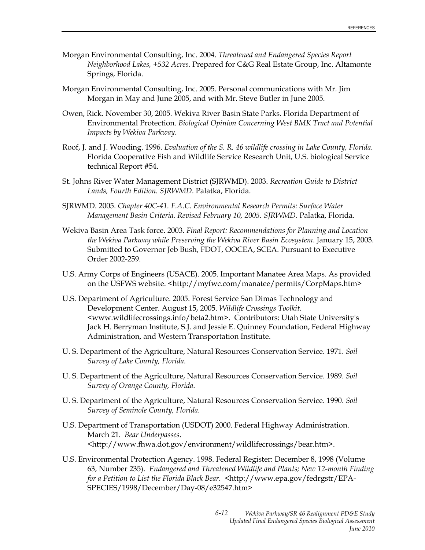- Morgan Environmental Consulting, Inc. 2004. *Threatened and Endangered Species Report Neighborhood Lakes, +532 Acres.* Prepared for C&G Real Estate Group, Inc. Altamonte Springs, Florida.
- Morgan Environmental Consulting, Inc. 2005. Personal communications with Mr. Jim Morgan in May and June 2005, and with Mr. Steve Butler in June 2005.
- Owen, Rick. November 30, 2005. Wekiva River Basin State Parks. Florida Department of Environmental Protection. *Biological Opinion Concerning West BMK Tract and Potential Impacts by Wekiva Parkway*.
- Roof, J. and J. Wooding. 1996. *Evaluation of the S. R. 46 wildlife crossing in Lake County, Florida*. Florida Cooperative Fish and Wildlife Service Research Unit, U.S. biological Service technical Report #54.
- St. Johns River Water Management District (SJRWMD). 2003. *Recreation Guide to District Lands, Fourth Edition. SJRWMD*. Palatka, Florida.
- SJRWMD. 2005. *Chapter 40C-41. F.A.C. Environmental Research Permits: Surface Water Management Basin Criteria. Revised February 10, 2005. SJRWMD*. Palatka, Florida.
- Wekiva Basin Area Task force. 2003. *Final Report: Recommendations for Planning and Location the Wekiva Parkway while Preserving the Wekiva River Basin Ecosystem*. January 15, 2003. Submitted to Governor Jeb Bush, FDOT, OOCEA, SCEA. Pursuant to Executive Order 2002-259.
- U.S. Army Corps of Engineers (USACE). 2005. Important Manatee Area Maps. As provided on the USFWS website. <http://myfwc.com/manatee/permits/CorpMaps.htm>
- U.S. Department of Agriculture. 2005. Forest Service San Dimas Technology and Development Center. August 15, 2005. *Wildlife Crossings Toolkit*. <www.wildlifecrossings.info/beta2.htm>. Contributors: Utah State University's Jack H. Berryman Institute, S.J. and Jessie E. Quinney Foundation, Federal Highway Administration, and Western Transportation Institute.
- U. S. Department of the Agriculture, Natural Resources Conservation Service. 1971. *Soil Survey of Lake County, Florida*.
- U. S. Department of the Agriculture, Natural Resources Conservation Service. 1989. *Soil Survey of Orange County, Florida*.
- U. S. Department of the Agriculture, Natural Resources Conservation Service. 1990. *Soil Survey of Seminole County, Florida*.
- U.S. Department of Transportation (USDOT) 2000. Federal Highway Administration. March 21. *Bear Underpasses*. <http://www.fhwa.dot.gov/environment/wildlifecrossings/bear.htm>.
- U.S. Environmental Protection Agency. 1998. Federal Register: December 8, 1998 (Volume 63, Number 235). *Endangered and Threatened Wildlife and Plants; New 12-month Finding for a Petition to List the Florida Black Bear.* <http://www.epa.gov/fedrgstr/EPA-SPECIES/1998/December/Day-08/e32547.htm>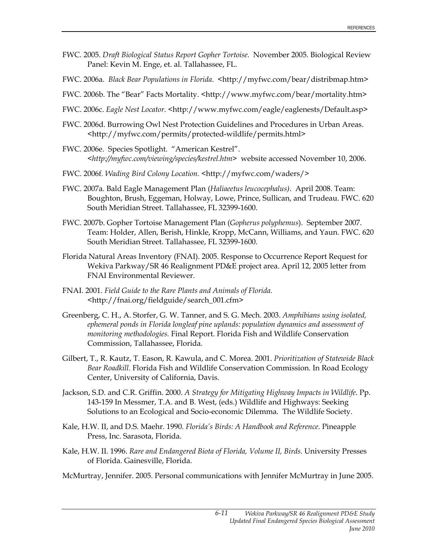- FWC. 2005. *Draft Biological Status Report Gopher Tortoise*. November 2005. Biological Review Panel: Kevin M. Enge, et. al. Tallahassee, FL.
- FWC. 2006a. *Black Bear Populations in Florida.* <http://myfwc.com/bear/distribmap.htm>
- FWC. 2006b. The "Bear" Facts Mortality. <http://www.myfwc.com/bear/mortality.htm>
- FWC. 2006c. *Eagle Nest Locator*. <http://www.myfwc.com/eagle/eaglenests/Default.asp>
- FWC. 2006d. Burrowing Owl Nest Protection Guidelines and Procedures in Urban Areas. <http://myfwc.com/permits/protected-wildlife/permits.html>
- FWC. 2006e. Species Spotlight. "American Kestrel". <*http://myfwc.com/viewing/species/kestrel.htm>* website accessed November 10, 2006.
- FWC. 2006f. *Wading Bird Colony Location*. <http://myfwc.com/waders/>
- FWC. 2007a. Bald Eagle Management Plan (*Haliaeetus leucocephalus)*. April 2008. Team: Boughton, Brush, Eggeman, Holway, Lowe, Prince, Sullican, and Trudeau. FWC. 620 South Meridian Street. Tallahassee, FL 32399-1600.
- FWC. 2007b. Gopher Tortoise Management Plan (*Gopherus polyphemus*). September 2007. Team: Holder, Allen, Berish, Hinkle, Kropp, McCann, Williams, and Yaun. FWC. 620 South Meridian Street. Tallahassee, FL 32399-1600.
- Florida Natural Areas Inventory (FNAI). 2005. Response to Occurrence Report Request for Wekiva Parkway/SR 46 Realignment PD&E project area. April 12, 2005 letter from FNAI Environmental Reviewer.
- FNAI. 2001. *Field Guide to the Rare Plants and Animals of Florida. <*http://fnai.org/fieldguide/search\_001.cfm>
- Greenberg, C. H., A. Storfer, G. W. Tanner, and S. G. Mech. 2003. *Amphibians using isolated, ephemeral ponds in Florida longleaf pine uplands: population dynamics and assessment of monitoring methodologies.* Final Report. Florida Fish and Wildlife Conservation Commission, Tallahassee, Florida.
- Gilbert, T., R. Kautz, T. Eason, R. Kawula, and C. Morea. 2001. *Prioritization of Statewide Black Bear Roadkill*. Florida Fish and Wildlife Conservation Commission. In Road Ecology Center, University of California, Davis.
- Jackson, S.D. and C.R. Griffin. 2000. *A Strategy for Mitigating Highway Impacts in Wildlife*. Pp. 143-159 In Messmer, T.A. and B. West, (eds.) Wildlife and Highways: Seeking Solutions to an Ecological and Socio-economic Dilemma. The Wildlife Society.
- Kale, H.W. II, and D.S. Maehr. 1990. *Florida's Birds: A Handbook and Reference*. Pineapple Press, Inc. Sarasota, Florida.
- Kale, H.W. II. 1996. *Rare and Endangered Biota of Florida, Volume II, Birds*. University Presses of Florida. Gainesville, Florida.
- McMurtray, Jennifer. 2005. Personal communications with Jennifer McMurtray in June 2005.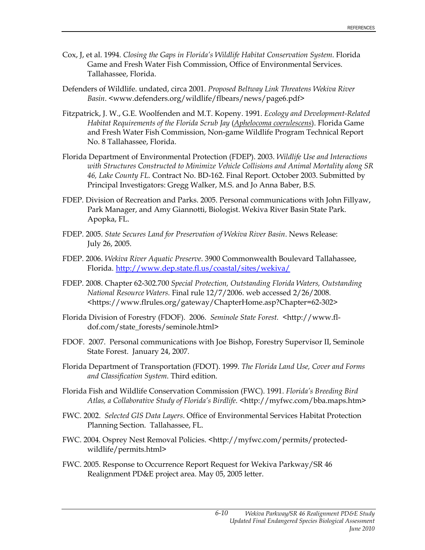- Cox, J, et al. 1994. *Closing the Gaps in Florida's Wildlife Habitat Conservation System*. Florida Game and Fresh Water Fish Commission, Office of Environmental Services. Tallahassee, Florida.
- Defenders of Wildlife. undated, circa 2001. *Proposed Beltway Link Threatens Wekiva River Basin*. <www.defenders.org/wildlife/flbears/news/page6.pdf>
- Fitzpatrick, J. W., G.E. Woolfenden and M.T. Kopeny. 1991. *Ecology and Development-Related Habitat Requirements of the Florida Scrub Jay* (*Aphelocoma coerulescens*). Florida Game and Fresh Water Fish Commission, Non-game Wildlife Program Technical Report No. 8 Tallahassee, Florida.
- Florida Department of Environmental Protection (FDEP). 2003. *Wildlife Use and Interactions with Structures Constructed to Minimize Vehicle Collisions and Animal Mortality along SR 46, Lake County FL.* Contract No. BD-162. Final Report. October 2003. Submitted by Principal Investigators: Gregg Walker, M.S. and Jo Anna Baber, B.S.
- FDEP. Division of Recreation and Parks. 2005. Personal communications with John Fillyaw, Park Manager, and Amy Giannotti, Biologist. Wekiva River Basin State Park. Apopka, FL.
- FDEP. 2005. *State Secures Land for Preservation of Wekiva River Basin*. News Release: July 26, 2005.
- FDEP. 2006. *Wekiva River Aquatic Preserve*. 3900 Commonwealth Boulevard Tallahassee, Florida. http://www.dep.state.fl.us/coastal/sites/wekiva/
- FDEP. 2008. Chapter 62-302.700 *Special Protection, Outstanding Florida Waters, Outstanding National Resource Waters.* Final rule 12/7/2006. web accessed 2/26/2008. <https://www.flrules.org/gateway/ChapterHome.asp?Chapter=62-302>
- Florida Division of Forestry (FDOF). 2006. *Seminole State Forest. <*http://www.fldof.com/state\_forests/seminole.html>
- FDOF. 2007.Personal communications with Joe Bishop, Forestry Supervisor II, Seminole State Forest. January 24, 2007.
- Florida Department of Transportation (FDOT). 1999. *The Florida Land Use, Cover and Forms and Classification System*. Third edition.
- Florida Fish and Wildlife Conservation Commission (FWC). 1991. *Florida's Breeding Bird Atlas, a Collaborative Study of Florida's Birdlife*. <http://myfwc.com/bba.maps.htm>
- FWC. 2002. *Selected GIS Data Layers*. Office of Environmental Services Habitat Protection Planning Section. Tallahassee, FL.
- FWC. 2004. Osprey Nest Removal Policies. <http://myfwc.com/permits/protectedwildlife/permits.html>
- FWC. 2005. Response to Occurrence Report Request for Wekiva Parkway/SR 46 Realignment PD&E project area. May 05, 2005 letter.